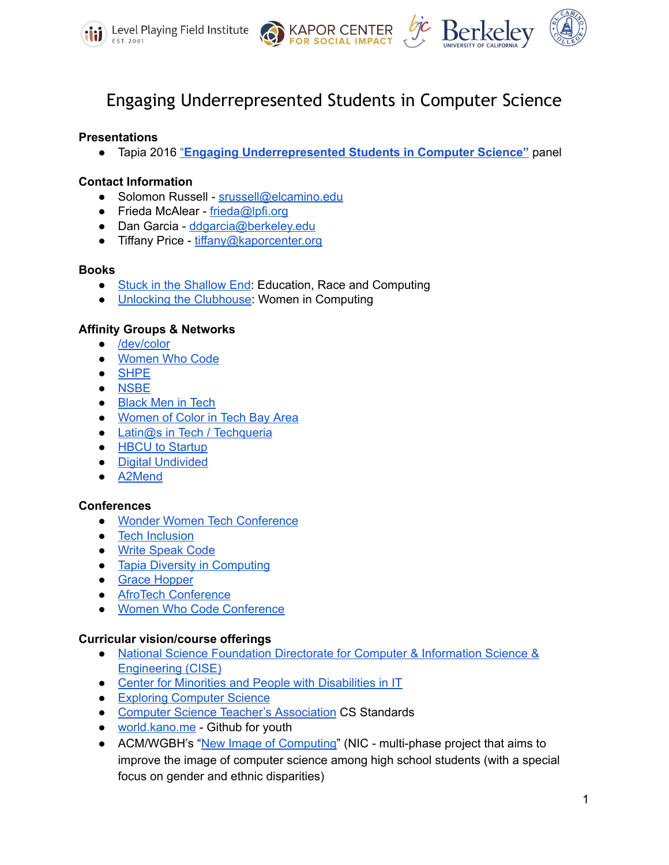





# Engaging Underrepresented Students in Computer Science

## **Presentations**

● Tapia 2016 ["](http://tinyurl.com/EngagingTapia2016)**Engaging [Underrepresented](http://tinyurl.com/EngagingTapia2016) Students in Computer Science"** panel

## **Contact Information**

- Solomon Russell [srussell@elcamino.edu](mailto:srussell@elcamino.edu)
- Frieda McAlear [frieda@lpfi.org](mailto:frieda@lpfi.org)
- Dan Garcia [ddgarcia@berkeley.edu](mailto:ddgarcia@berkeley.edu)
- Tiffany Price [tiffany@kaporcenter.org](mailto:tiffany@kaporcenter.org)

## **Books**

- Stuck in the [Shallow](http://www.amazon.com/Stuck-Shallow-End-Education-Computing/dp/0262135043/ref=sr_1_1?ie=UTF8&qid=1249592856&sr=8-1) End: Education, Race and Computing
- Unlocking the [Clubhouse](http://monoskop.org/images/5/53/Margolis_Jane_Fisher_Allan_Unlocking_the_Clubhouse_Women_in_Computing.pdf): Women in Computing

## **Affinity Groups & Networks**

- [/dev/color](http://devcolor.org/)
- [Women](https://www.womenwhocode.com/) Who Code
- [SHPE](http://www.shpe.org/)
- [NSBE](https://www.nsbe.org/)
- [Black](http://blackmenintech.com/) Men in Tech
- [Women](https://www.facebook.com/groups/WOCinbay/) of Color in Tech Bay Area
- Latin@s in Tech / [Techqueria](http://techqueria.org/)
- HBCU to [Startup](http://www.hbcutostartup.com/)
- Digital [Undivided](https://www.digitalundivided.com/)
- [A2Mend](http://a2mend.org/)

## **Conferences**

- **●** Wonder Women Tech [Conference](https://wonderwomentech.com/)
- Tech [Inclusion](http://techinclusion.co/)
- Write [Speak](http://www.writespeakcode.com/) Code
- Tapia Diversity in [Computing](http://tapiaconference.org/)
- Grace [Hopper](https://www.gracehopper.com/)
- AfroTech [Conference](http://www.afrotechconference.com/)
- Women Who Code [Conference](https://www.womenwhocode.com/)

## **Curricular vision/course offerings**

- National Science [Foundation](http://www.nsf.gov/dir/index.jsp?org=CISE) Directorate for Computer & Information Science & [Engineering](http://www.nsf.gov/dir/index.jsp?org=CISE) (CISE)
- Center for Minorities and People with [Disabilities](http://www.cmd-it.org/) in IT
- Exploring [Computer](http://www.exploringcs.org/curriculum) Science
- Computer Science Teacher's [Association](http://csta.acm.org/Curriculum/sub/K12Standards.html) CS Standards
- [world.kano.me](http://world.kano.me/) Github for youth
- ACM/WGBH's "New Image of [Computing](http://www.acm.org/membership/NIC.pdf)" (NIC multi-phase project that aims to improve the image of computer science among high school students (with a special focus on gender and ethnic disparities)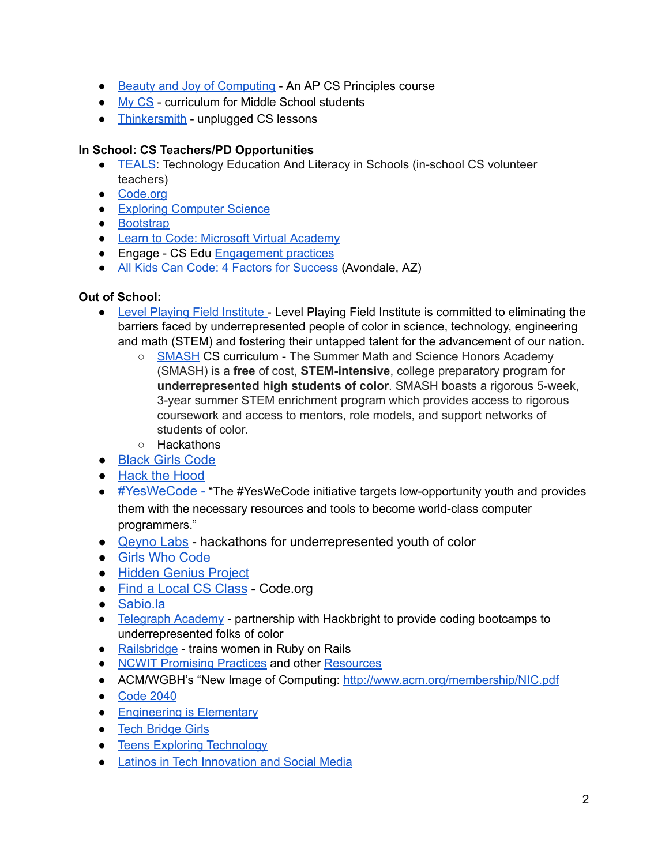- Beauty and Joy of [Computing](https://www.edx.org/course/beauty-joy-computing-cs-principles-part-uc-berkeleyx-bjc-1x#.VPeXssadiI2) An AP CS Principles course
- My [CS](https://www.cs.hmc.edu/MyCS/) curriculum for Middle School students
- [Thinkersmith](http://thinkersmith.org/about-us/curriculum/) unplugged CS lessons

# **In School: CS Teachers/PD Opportunities**

- [TEALS:](http://www.tealsk12.org/) Technology Education And Literacy in Schools (in-school CS volunteer teachers)
- [Code.org](http://code.org/)
- Exploring [Computer](http://www.exploringcs.org/) Science
- [Bootstrap](http://www.bootstrapworld.org/)
- Learn to Code: Microsoft Virtual [Academy](http://www.microsoftvirtualacademy.com/students)
- Engage CS Edu [Engagement](https://www.engage-csedu.org/engagement) practices
- All Kids Can Code: 4 Factors for [Success](http://t.co/LdoEZ53REJ) (Avondale, AZ)

## **Out of School:**

- Level Playing Field [Institute](http://lpfi.org/) Level Playing Field Institute is committed to eliminating the barriers faced by underrepresented people of color in science, technology, engineering and math (STEM) and fostering their untapped talent for the advancement of our nation.
	- [SMASH](https://sites.google.com/a/lpfi.org/smash-curriculum/home/stem-courses/computer-science) CS curriculum The Summer Math and Science Honors Academy (SMASH) is a free of cost, **STEM-intensive**, college preparatory program for **underrepresented high students of color**. SMASH boasts a rigorous 5week, 3year summer STEM enrichment program which provides access to rigorous coursework and access to mentors, role models, and support networks of students of color.
	- Hackathons
- [Black](http://www.blackgirlscode.com/) Girls Code
- Hack the [Hood](http://www.hackthehood.org/)
- [#YesWeCode](http://www.yeswecode.org/) "The #YesWeCode initiative targets low-opportunity youth and provides them with the necessary resources and tools to become world-class computer programmers."
- [Qeyno](http://www.qeyno.com/) Labs hackathons for underrepresented youth of color
- Girls Who [Code](https://girlswhocode.com/)
- [Hidden](http://www.hiddengeniusproject.org/) Genius Project
- Find a Local CS [Class](http://code.org/learn/local) Code.org
- [Sabio.la](http://sabio.la/)
- [Telegraph](http://www.telegraphacademy.com/) Academy partnership with Hackbright to provide coding bootcamps to underrepresented folks of color
- [Railsbridge](http://www.railsbridge.org/about) trains women in Ruby on Rails
- NCWIT [Promising](https://www.ncwit.org/resources/type/promising-practices) Practices and other [Resources](https://www.ncwit.org/resources)
- ACM/WGBH's "New Image of Computing: <http://www.acm.org/membership/NIC.pdf>
- [Code](http://www.code2040.org/) 2040
- [Engineering](http://www.eie.org/) is Elementary
- Tech [Bridge](http://www.techbridgegirls.org/) Girls
- Teens Exploring [Technology](http://exploringtech.org/)
- Latinos in Tech [Innovation](http://latism.org/category/techonlogy-tecnologia/) and Social Media